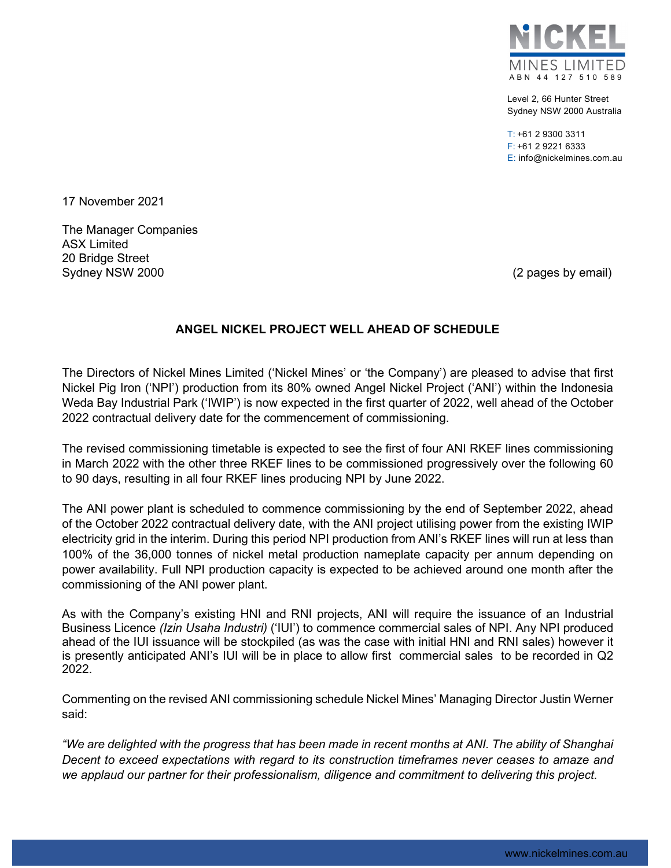

Level 2, 66 Hunter Street Sydney NSW 2000 Australia

 $T: +61$  2 9300 3311 F: +61 2 9221 6333 E: info@nickelmines.com.au

17 November 2021

The Manager Companies ASX Limited 20 Bridge Street Sydney NSW 2000 **(2 pages by email)** Sydney NSW 2000

## **ANGEL NICKEL PROJECT WELL AHEAD OF SCHEDULE**

The Directors of Nickel Mines Limited ('Nickel Mines' or 'the Company') are pleased to advise that first Nickel Pig Iron ('NPI') production from its 80% owned Angel Nickel Project ('ANI') within the Indonesia Weda Bay Industrial Park ('IWIP') is now expected in the first quarter of 2022, well ahead of the October 2022 contractual delivery date for the commencement of commissioning.

The revised commissioning timetable is expected to see the first of four ANI RKEF lines commissioning in March 2022 with the other three RKEF lines to be commissioned progressively over the following 60 to 90 days, resulting in all four RKEF lines producing NPI by June 2022.

The ANI power plant is scheduled to commence commissioning by the end of September 2022, ahead of the October 2022 contractual delivery date, with the ANI project utilising power from the existing IWIP electricity grid in the interim. During this period NPI production from ANI's RKEF lines will run at less than 100% of the 36,000 tonnes of nickel metal production nameplate capacity per annum depending on power availability. Full NPI production capacity is expected to be achieved around one month after the commissioning of the ANI power plant.

As with the Company's existing HNI and RNI projects, ANI will require the issuance of an Industrial Business Licence *(Izin Usaha Industri)* ('IUI') to commence commercial sales of NPI. Any NPI produced ahead of the IUI issuance will be stockpiled (as was the case with initial HNI and RNI sales) however it is presently anticipated ANI's IUI will be in place to allow first commercial sales to be recorded in Q2 2022.

Commenting on the revised ANI commissioning schedule Nickel Mines' Managing Director Justin Werner said:

*"We are delighted with the progress that has been made in recent months at ANI. The ability of Shanghai Decent to exceed expectations with regard to its construction timeframes never ceases to amaze and we applaud our partner for their professionalism, diligence and commitment to delivering this project.*